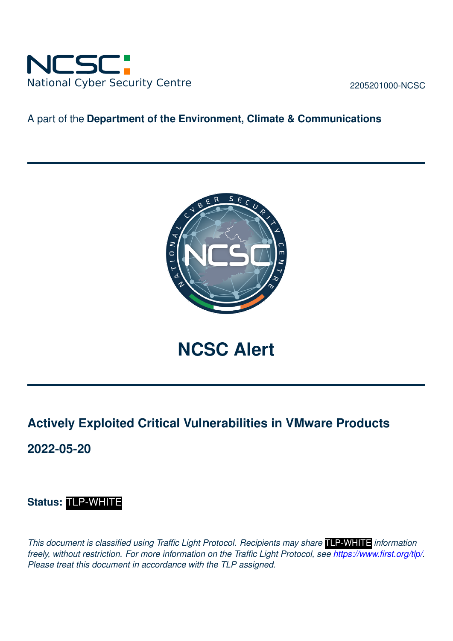

2205201000-NCSC

### A part of the **Department of the Environment, Climate & Communications**



**NCSC Alert**

# **Actively Exploited Critical Vulnerabilities in VMware Products**

**2022-05-20**

## **Status:** TLP-WHITE

*This document is classified using Traffic Light Protocol. Recipients may share* TLP-WHITE *information freely, without restriction. For more information on the Traffic Light Protocol, see [https://www.first.org/tlp/.](https://www.first.org/tlp/) Please treat this document in accordance with the TLP assigned.*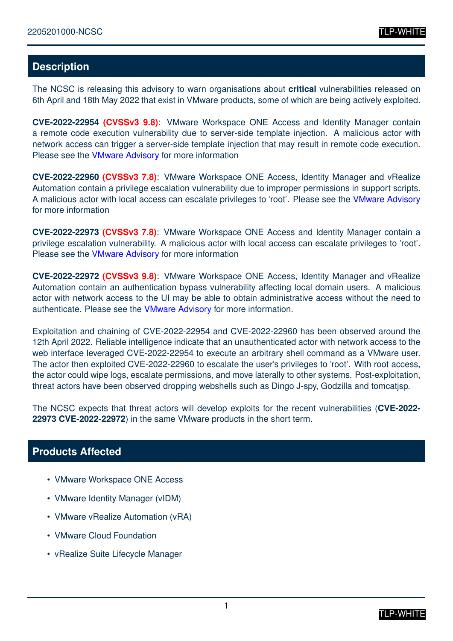#### **Description**

The NCSC is releasing this advisory to warn organisations about **critical** vulnerabilities released on 6th April and 18th May 2022 that exist in VMware products, some of which are being actively exploited.

**CVE-2022-22954 (CVSSv3 9.8)**: VMware Workspace ONE Access and Identity Manager contain a remote code execution vulnerability due to server-side template injection. A malicious actor with network access can trigger a server-side template injection that may result in remote code execution. Please see the [VMware Advisory](https://www.vmware.com/security/advisories/VMSA-2022-0011.html) for more information

**CVE-2022-22960 (CVSSv3 7.8)**: VMware Workspace ONE Access, Identity Manager and vRealize Automation contain a privilege escalation vulnerability due to improper permissions in support scripts. A malicious actor with local access can escalate privileges to 'root'. Please see the [VMware Advisory](https://www.vmware.com/security/advisories/VMSA-2022-0011.html) for more information

**CVE-2022-22973 (CVSSv3 7.8)**: VMware Workspace ONE Access and Identity Manager contain a privilege escalation vulnerability. A malicious actor with local access can escalate privileges to 'root'. Please see the [VMware Advisory](https://www.vmware.com/security/advisories/VMSA-2022-0014.html) for more information

**CVE-2022-22972 (CVSSv3 9.8)**: VMware Workspace ONE Access, Identity Manager and vRealize Automation contain an authentication bypass vulnerability affecting local domain users. A malicious actor with network access to the UI may be able to obtain administrative access without the need to authenticate. Please see the [VMware Advisory](https://www.vmware.com/security/advisories/VMSA-2022-0014.html) for more information.

Exploitation and chaining of CVE-2022-22954 and CVE-2022-22960 has been observed around the 12th April 2022. Reliable intelligence indicate that an unauthenticated actor with network access to the web interface leveraged CVE-2022-22954 to execute an arbitrary shell command as a VMware user. The actor then exploited CVE-2022-22960 to escalate the user's privileges to 'root'. With root access, the actor could wipe logs, escalate permissions, and move laterally to other systems. Post-exploitation, threat actors have been observed dropping webshells such as Dingo J-spy, Godzilla and tomcatjsp.

The NCSC expects that threat actors will develop exploits for the recent vulnerabilities (**CVE-2022- 22973 CVE-2022-22972**) in the same VMware products in the short term.

#### **Products Affected**

- VMware Workspace ONE Access
- VMware Identity Manager (vIDM)
- VMware vRealize Automation (vRA)
- VMware Cloud Foundation
- vRealize Suite Lifecycle Manager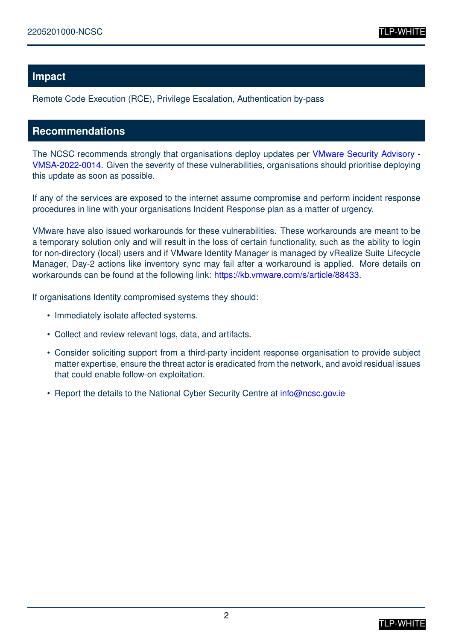#### **Impact**

Remote Code Execution (RCE), Privilege Escalation, Authentication by-pass

#### **Recommendations**

The NCSC recommends strongly that organisations deploy updates per [VMware Security Advisory -](https://www.vmware.com/security/advisories/VMSA-2022-0014.html) [VMSA-2022-0014.](https://www.vmware.com/security/advisories/VMSA-2022-0014.html) Given the severity of these vulnerabilities, organisations should prioritise deploying this update as soon as possible.

If any of the services are exposed to the internet assume compromise and perform incident response procedures in line with your organisations Incident Response plan as a matter of urgency.

VMware have also issued workarounds for these vulnerabilities. These workarounds are meant to be a temporary solution only and will result in the loss of certain functionality, such as the ability to login for non-directory (local) users and if VMware Identity Manager is managed by vRealize Suite Lifecycle Manager, Day-2 actions like inventory sync may fail after a workaround is applied. More details on workarounds can be found at the following link: [https://kb.vmware.com/s/article/88433.](https://kb.vmware.com/s/article/88433)

If organisations Identity compromised systems they should:

- Immediately isolate affected systems.
- Collect and review relevant logs, data, and artifacts.
- Consider soliciting support from a third-party incident response organisation to provide subject matter expertise, ensure the threat actor is eradicated from the network, and avoid residual issues that could enable follow-on exploitation.
- Report the details to the National Cyber Security Centre at [info@ncsc.gov.ie](mailto:info@ncsc.gov.ie)